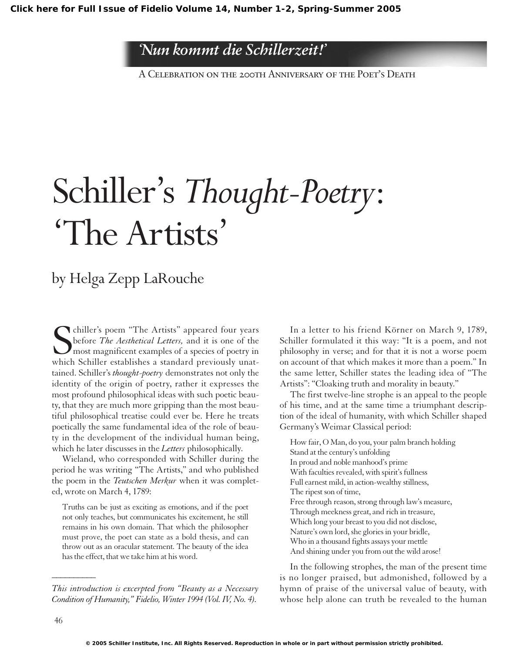## *'Nun kommt die Schillerzeit!'*

A Celebration on the 200th Anniversary of the Poet's Death

## Schiller's *Thought-Poetry*: 'The Artists'

## by Helga Zepp LaRouche

S<br>which chiller's poem "The Artists" appeared four years before *The Aesthetical Letters,* and it is one of the most magnificent examples of a species of poetry in which Schiller establishes a standard previously unattained. Schiller's *thought-poetry* demonstrates not only the identity of the origin of poetry, rather it expresses the most profound philosophical ideas with such poetic beauty, that they are much more gripping than the most beautiful philosophical treatise could ever be. Here he treats poetically the same fundamental idea of the role of beauty in the development of the individual human being, which he later discusses in the *Letters* philosophically.

Wieland, who corresponded with Schiller during the period he was writing "The Artists," and who published the poem in the *Teutschen Merkur* when it was completed, wrote on March 4, 1789:

Truths can be just as exciting as emotions, and if the poet not only teaches, but communicates his excitement, he still remains in his own domain. That which the philosopher must prove, the poet can state as a bold thesis, and can throw out as an oracular statement. The beauty of the idea has the effect, that we take him at his word.

*This introduction is excerpted from "Beauty as a Necessary Condition of Humanity," Fidelio, Winter 1994 (Vol. IV, No. 4).*

In a letter to his friend Körner on March 9, 1789, Schiller formulated it this way: "It is a poem, and not philosophy in verse; and for that it is not a worse poem on account of that which makes it more than a poem." In the same letter, Schiller states the leading idea of "The Artists": "Cloaking truth and morality in beauty."

The first twelve-line strophe is an appeal to the people of his time, and at the same time a triumphant description of the ideal of humanity, with which Schiller shaped Germany's Weimar Classical period:

How fair, O Man, do you, your palm branch holding Stand at the century's unfolding In proud and noble manhood's prime With faculties revealed, with spirit's fullness Full earnest mild, in action-wealthy stillness, The ripest son of time, Free through reason, strong through law's measure, Through meekness great, and rich in treasure, Which long your breast to you did not disclose, Nature's own lord, she glories in your bridle, Who in a thousand fights assays your mettle And shining under you from out the wild arose!

In the following strophes, the man of the present time is no longer praised, but admonished, followed by a hymn of praise of the universal value of beauty, with whose help alone can truth be revealed to the human

*\_\_\_\_\_\_\_\_\_\_*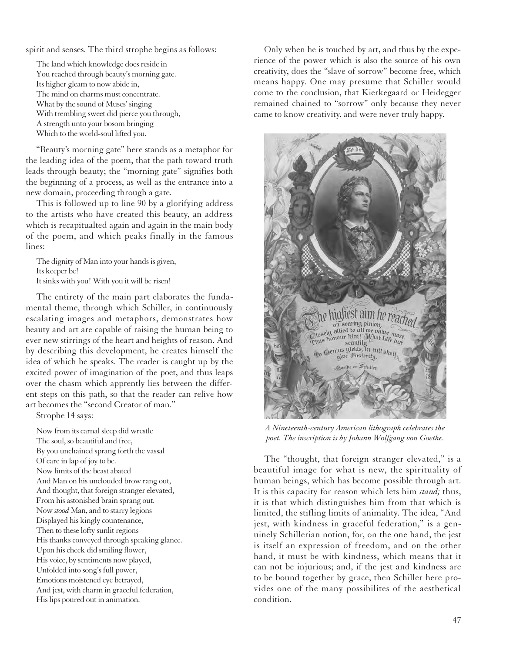spirit and senses. The third strophe begins as follows:

The land which knowledge does reside in You reached through beauty's morning gate. Its higher gleam to now abide in, The mind on charms must concentrate. What by the sound of Muses' singing With trembling sweet did pierce you through, A strength unto your bosom bringing Which to the world-soul lifted you.

"Beauty's morning gate" here stands as a metaphor for the leading idea of the poem, that the path toward truth leads through beauty; the "morning gate" signifies both the beginning of a process, as well as the entrance into a new domain, proceeding through a gate.

This is followed up to line 90 by a glorifying address to the artists who have created this beauty, an address which is recapitualted again and again in the main body of the poem, and which peaks finally in the famous lines:

The dignity of Man into your hands is given, Its keeper be! It sinks with you! With you it will be risen!

The entirety of the main part elaborates the fundamental theme, through which Schiller, in continuously escalating images and metaphors, demonstrates how beauty and art are capable of raising the human being to ever new stirrings of the heart and heights of reason. And by describing this development, he creates himself the idea of which he speaks. The reader is caught up by the excited power of imagination of the poet, and thus leaps over the chasm which apprently lies between the different steps on this path, so that the reader can relive how art becomes the "second Creator of man."

Strophe 14 says:

Now from its carnal sleep did wrestle The soul, so beautiful and free, By you unchained sprang forth the vassal Of care in lap of joy to be. Now limits of the beast abated And Man on his unclouded brow rang out, And thought, that foreign stranger elevated, From his astonished brain sprang out. Now *stood* Man, and to starry legions Displayed his kingly countenance, Then to these lofty sunlit regions His thanks conveyed through speaking glance. Upon his cheek did smiling flower, His voice, by sentiments now played, Unfolded into song's full power, Emotions moistened eye betrayed, And jest, with charm in graceful federation, His lips poured out in animation.

Only when he is touched by art, and thus by the experience of the power which is also the source of his own creativity, does the "slave of sorrow" become free, which means happy. One may presume that Schiller would come to the conclusion, that Kierkegaard or Heidegger remained chained to "sorrow" only because they never came to know creativity, and were never truly happy.



*A Nineteenth-century American lithograph celebrates the poet. The inscription is by Johann Wolfgang von Goethe.*

The "thought, that foreign stranger elevated," is a beautiful image for what is new, the spirituality of human beings, which has become possible through art. It is this capacity for reason which lets him *stand;* thus, it is that which distinguishes him from that which is limited, the stifling limits of animality. The idea, "And jest, with kindness in graceful federation," is a genuinely Schillerian notion, for, on the one hand, the jest is itself an expression of freedom, and on the other hand, it must be with kindness, which means that it can not be injurious; and, if the jest and kindness are to be bound together by grace, then Schiller here provides one of the many possibilites of the aesthetical condition.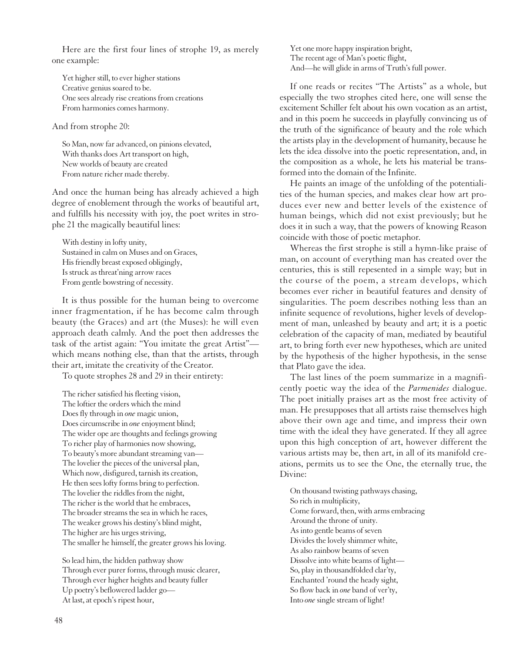Here are the first four lines of strophe 19, as merely one example:

Yet higher still, to ever higher stations Creative genius soared to be. One sees already rise creations from creations From harmonies comes harmony.

And from strophe 20:

So Man, now far advanced, on pinions elevated, With thanks does Art transport on high, New worlds of beauty are created From nature richer made thereby.

And once the human being has already achieved a high degree of enoblement through the works of beautiful art, and fulfills his necessity with joy, the poet writes in strophe 21 the magically beautiful lines:

With destiny in lofty unity, Sustained in calm on Muses and on Graces, His friendly breast exposed obligingly, Is struck as threat'ning arrow races From gentle bowstring of necessity.

It is thus possible for the human being to overcome inner fragmentation, if he has become calm through beauty (the Graces) and art (the Muses): he will even approach death calmly. And the poet then addresses the task of the artist again: "You imitate the great Artist" which means nothing else, than that the artists, through their art, imitate the creativity of the Creator.

To quote strophes 28 and 29 in their entirety:

The richer satisfied his fleeting vision, The loftier the orders which the mind Does fly through in *one* magic union, Does circumscribe in *one* enjoyment blind; The wider ope are thoughts and feelings growing To richer play of harmonies now showing, To beauty's more abundant streaming van— The lovelier the pieces of the universal plan, Which now, disfigured, tarnish its creation, He then sees lofty forms bring to perfection. The lovelier the riddles from the night, The richer is the world that he embraces, The broader streams the sea in which he races, The weaker grows his destiny's blind might, The higher are his urges striving, The smaller he himself, the greater grows his loving.

So lead him, the hidden pathway show Through ever purer forms, through music clearer, Through ever higher heights and beauty fuller Up poetry's beflowered ladder go— At last, at epoch's ripest hour,

Yet one more happy inspiration bright, The recent age of Man's poetic flight, And—he will glide in arms of Truth's full power.

If one reads or recites "The Artists" as a whole, but especially the two strophes cited here, one will sense the excitement Schiller felt about his own vocation as an artist, and in this poem he succeeds in playfully convincing us of the truth of the significance of beauty and the role which the artists play in the development of humanity, because he lets the idea dissolve into the poetic representation, and, in the composition as a whole, he lets his material be transformed into the domain of the Infinite.

He paints an image of the unfolding of the potentialities of the human species, and makes clear how art produces ever new and better levels of the existence of human beings, which did not exist previously; but he does it in such a way, that the powers of knowing Reason coincide with those of poetic metaphor.

Whereas the first strophe is still a hymn-like praise of man, on account of everything man has created over the centuries, this is still repesented in a simple way; but in the course of the poem, a stream develops, which becomes ever richer in beautiful features and density of singularities. The poem describes nothing less than an infinite sequence of revolutions, higher levels of development of man, unleashed by beauty and art; it is a poetic celebration of the capacity of man, mediated by beautiful art, to bring forth ever new hypotheses, which are united by the hypothesis of the higher hypothesis, in the sense that Plato gave the idea.

The last lines of the poem summarize in a magnificently poetic way the idea of the *Parmenides* dialogue. The poet initially praises art as the most free activity of man. He presupposes that all artists raise themselves high above their own age and time, and impress their own time with the ideal they have generated. If they all agree upon this high conception of art, however different the various artists may be, then art, in all of its manifold creations, permits us to see the One, the eternally true, the Divine:

On thousand twisting pathways chasing, So rich in multiplicity, Come forward, then, with arms embracing Around the throne of unity. As into gentle beams of seven Divides the lovely shimmer white, As also rainbow beams of seven Dissolve into white beams of light— So, play in thousandfolded clar'ty, Enchanted 'round the heady sight, So flow back in *one* band of ver'ty, Into *one*single stream of light!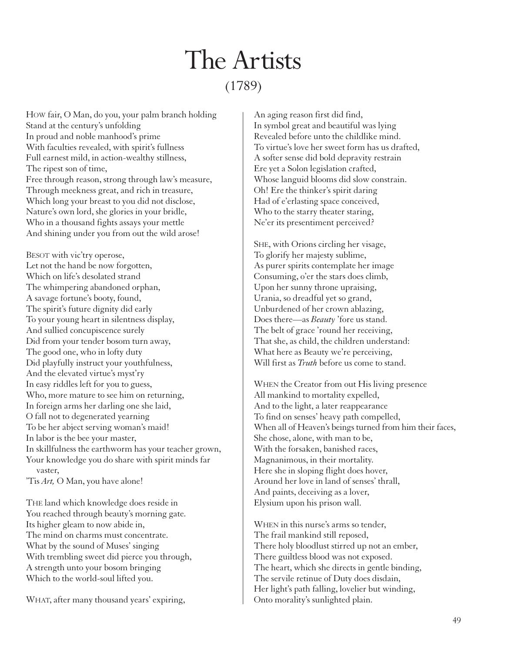## The Artists (1789)

HOW fair, O Man, do you, your palm branch holding Stand at the century's unfolding In proud and noble manhood's prime With faculties revealed, with spirit's fullness Full earnest mild, in action-wealthy stillness, The ripest son of time, Free through reason, strong through law's measure, Through meekness great, and rich in treasure, Which long your breast to you did not disclose, Nature's own lord, she glories in your bridle, Who in a thousand fights assays your mettle And shining under you from out the wild arose!

BESOT with vic'try operose, Let not the hand be now forgotten, Which on life's desolated strand The whimpering abandoned orphan, A savage fortune's booty, found, The spirit's future dignity did early To your young heart in silentness display, And sullied concupiscence surely Did from your tender bosom turn away, The good one, who in lofty duty Did playfully instruct your youthfulness, And the elevated virtue's myst'ry In easy riddles left for you to guess, Who, more mature to see him on returning, In foreign arms her darling one she laid, O fall not to degenerated yearning To be her abject serving woman's maid! In labor is the bee your master, In skillfulness the earthworm has your teacher grown, Your knowledge you do share with spirit minds far vaster,

'Tis *Art,* O Man, you have alone!

THE land which knowledge does reside in You reached through beauty's morning gate. Its higher gleam to now abide in, The mind on charms must concentrate. What by the sound of Muses' singing With trembling sweet did pierce you through, A strength unto your bosom bringing Which to the world-soul lifted you.

WHAT, after many thousand years' expiring,

An aging reason first did find, In symbol great and beautiful was lying Revealed before unto the childlike mind. To virtue's love her sweet form has us drafted, A softer sense did bold depravity restrain Ere yet a Solon legislation crafted, Whose languid blooms did slow constrain. Oh! Ere the thinker's spirit daring Had of e'erlasting space conceived, Who to the starry theater staring, Ne'er its presentiment perceived?

SHE, with Orions circling her visage, To glorify her majesty sublime, As purer spirits contemplate her image Consuming, o'er the stars does climb, Upon her sunny throne upraising, Urania, so dreadful yet so grand, Unburdened of her crown ablazing, Does there—as *Beauty* 'fore us stand. The belt of grace 'round her receiving, That she, as child, the children understand: What here as Beauty we're perceiving, Will first as *Truth* before us come to stand.

WHEN the Creator from out His living presence All mankind to mortality expelled, And to the light, a later reappearance To find on senses' heavy path compelled, When all of Heaven's beings turned from him their faces, She chose, alone, with man to be, With the forsaken, banished races, Magnanimous, in their mortality. Here she in sloping flight does hover, Around her love in land of senses' thrall, And paints, deceiving as a lover, Elysium upon his prison wall.

WHEN in this nurse's arms so tender, The frail mankind still reposed, There holy bloodlust stirred up not an ember, There guiltless blood was not exposed. The heart, which she directs in gentle binding, The servile retinue of Duty does disdain, Her light's path falling, lovelier but winding, Onto morality's sunlighted plain.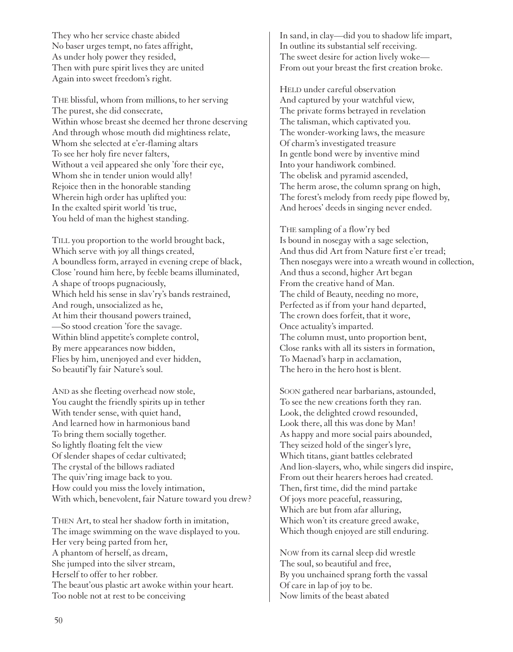They who her service chaste abided No baser urges tempt, no fates affright, As under holy power they resided, Then with pure spirit lives they are united Again into sweet freedom's right.

THE blissful, whom from millions, to her serving The purest, she did consecrate, Within whose breast she deemed her throne deserving And through whose mouth did mightiness relate, Whom she selected at e'er-flaming altars To see her holy fire never falters, Without a veil appeared she only 'fore their eye, Whom she in tender union would ally! Rejoice then in the honorable standing Wherein high order has uplifted you: In the exalted spirit world 'tis true, You held of man the highest standing.

TILL you proportion to the world brought back, Which serve with joy all things created, A boundless form, arrayed in evening crepe of black, Close 'round him here, by feeble beams illuminated, A shape of troops pugnaciously, Which held his sense in slav'ry's bands restrained, And rough, unsocialized as he, At him their thousand powers trained, —So stood creation 'fore the savage. Within blind appetite's complete control, By mere appearances now bidden, Flies by him, unenjoyed and ever hidden, So beautif'ly fair Nature's soul.

AND as she fleeting overhead now stole, You caught the friendly spirits up in tether With tender sense, with quiet hand, And learned how in harmonious band To bring them socially together. So lightly floating felt the view Of slender shapes of cedar cultivated; The crystal of the billows radiated The quiv'ring image back to you. How could you miss the lovely intimation, With which, benevolent, fair Nature toward you drew?

THEN Art, to steal her shadow forth in imitation, The image swimming on the wave displayed to you. Her very being parted from her, A phantom of herself, as dream, She jumped into the silver stream, Herself to offer to her robber. The beaut'ous plastic art awoke within your heart. Too noble not at rest to be conceiving

In sand, in clay—did you to shadow life impart, In outline its substantial self receiving. The sweet desire for action lively woke— From out your breast the first creation broke.

HELD under careful observation And captured by your watchful view, The private forms betrayed in revelation The talisman, which captivated you. The wonder-working laws, the measure Of charm's investigated treasure In gentle bond were by inventive mind Into your handiwork combined. The obelisk and pyramid ascended, The herm arose, the column sprang on high, The forest's melody from reedy pipe flowed by, And heroes' deeds in singing never ended.

THE sampling of a flow'ry bed Is bound in nosegay with a sage selection, And thus did Art from Nature first e'er tread; Then nosegays were into a wreath wound in collection, And thus a second, higher Art began From the creative hand of Man. The child of Beauty, needing no more, Perfected as if from your hand departed, The crown does forfeit, that it wore, Once actuality's imparted. The column must, unto proportion bent, Close ranks with all its sisters in formation, To Maenad's harp in acclamation, The hero in the hero host is blent.

SOON gathered near barbarians, astounded, To see the new creations forth they ran. Look, the delighted crowd resounded, Look there, all this was done by Man! As happy and more social pairs abounded, They seized hold of the singer's lyre, Which titans, giant battles celebrated And lion-slayers, who, while singers did inspire, From out their hearers heroes had created. Then, first time, did the mind partake Of joys more peaceful, reassuring, Which are but from afar alluring, Which won't its creature greed awake, Which though enjoyed are still enduring.

NOW from its carnal sleep did wrestle The soul, so beautiful and free, By you unchained sprang forth the vassal Of care in lap of joy to be. Now limits of the beast abated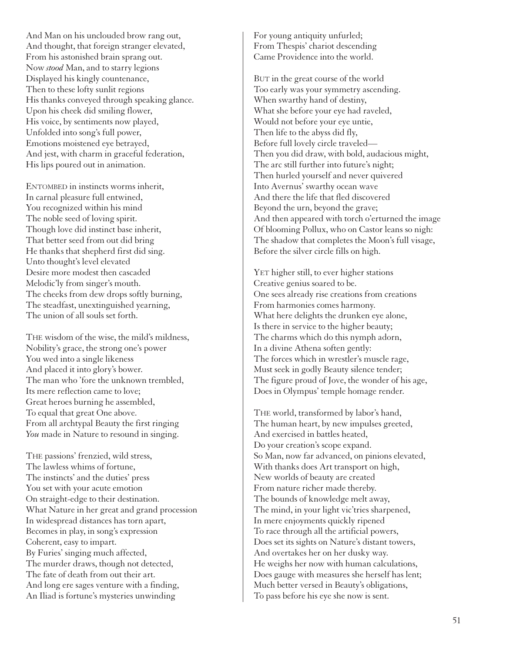And Man on his unclouded brow rang out, And thought, that foreign stranger elevated, From his astonished brain sprang out. Now *stood* Man, and to starry legions Displayed his kingly countenance, Then to these lofty sunlit regions His thanks conveyed through speaking glance. Upon his cheek did smiling flower, His voice, by sentiments now played, Unfolded into song's full power, Emotions moistened eye betrayed, And jest, with charm in graceful federation, His lips poured out in animation.

ENTOMBED in instincts worms inherit, In carnal pleasure full entwined, You recognized within his mind The noble seed of loving spirit. Though love did instinct base inherit, That better seed from out did bring He thanks that shepherd first did sing. Unto thought's level elevated Desire more modest then cascaded Melodic'ly from singer's mouth. The cheeks from dew drops softly burning, The steadfast, unextinguished yearning, The union of all souls set forth.

THE wisdom of the wise, the mild's mildness, Nobility's grace, the strong one's power You wed into a single likeness And placed it into glory's bower. The man who 'fore the unknown trembled, Its mere reflection came to love; Great heroes burning he assembled, To equal that great One above. From all archtypal Beauty the first ringing *You* made in Nature to resound in singing.

THE passions' frenzied, wild stress, The lawless whims of fortune, The instincts' and the duties' press You set with your acute emotion On straight-edge to their destination. What Nature in her great and grand procession In widespread distances has torn apart, Becomes in play, in song's expression Coherent, easy to impart. By Furies' singing much affected, The murder draws, though not detected, The fate of death from out their art. And long ere sages venture with a finding, An Iliad is fortune's mysteries unwinding

For young antiquity unfurled; From Thespis' chariot descending Came Providence into the world.

BUT in the great course of the world Too early was your symmetry ascending. When swarthy hand of destiny, What she before your eye had raveled, Would not before your eye untie, Then life to the abyss did fly, Before full lovely circle traveled— Then you did draw, with bold, audacious might, The arc still further into future's night; Then hurled yourself and never quivered Into Avernus' swarthy ocean wave And there the life that fled discovered Beyond the urn, beyond the grave; And then appeared with torch o'erturned the image Of blooming Pollux, who on Castor leans so nigh: The shadow that completes the Moon's full visage, Before the silver circle fills on high.

YET higher still, to ever higher stations Creative genius soared to be. One sees already rise creations from creations From harmonies comes harmony. What here delights the drunken eye alone, Is there in service to the higher beauty; The charms which do this nymph adorn, In a divine Athena soften gently: The forces which in wrestler's muscle rage, Must seek in godly Beauty silence tender; The figure proud of Jove, the wonder of his age, Does in Olympus' temple homage render.

THE world, transformed by labor's hand, The human heart, by new impulses greeted, And exercised in battles heated, Do your creation's scope expand. So Man, now far advanced, on pinions elevated, With thanks does Art transport on high, New worlds of beauty are created From nature richer made thereby. The bounds of knowledge melt away, The mind, in your light vic'tries sharpened, In mere enjoyments quickly ripened To race through all the artificial powers, Does set its sights on Nature's distant towers, And overtakes her on her dusky way. He weighs her now with human calculations, Does gauge with measures she herself has lent; Much better versed in Beauty's obligations, To pass before his eye she now is sent.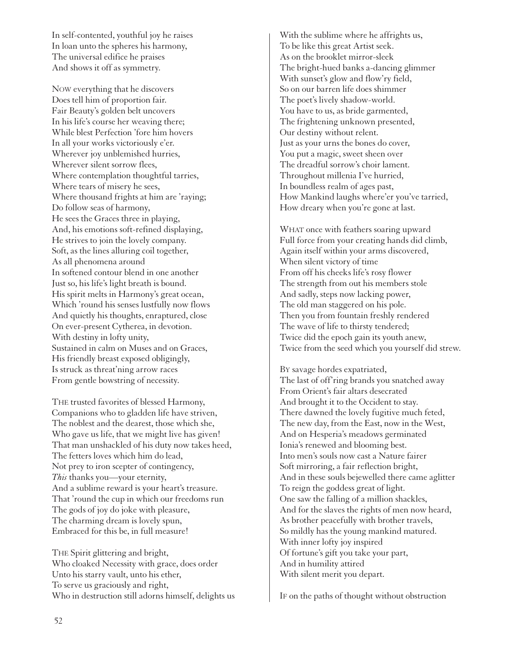In self-contented, youthful joy he raises In loan unto the spheres his harmony, The universal edifice he praises And shows it off as symmetry.

NOW everything that he discovers Does tell him of proportion fair. Fair Beauty's golden belt uncovers In his life's course her weaving there; While blest Perfection 'fore him hovers In all your works victoriously e'er. Wherever joy unblemished hurries, Wherever silent sorrow flees, Where contemplation thoughtful tarries, Where tears of misery he sees, Where thousand frights at him are 'raying; Do follow seas of harmony, He sees the Graces three in playing, And, his emotions soft-refined displaying, He strives to join the lovely company. Soft, as the lines alluring coil together, As all phenomena around In softened contour blend in one another Just so, his life's light breath is bound. His spirit melts in Harmony's great ocean, Which 'round his senses lustfully now flows And quietly his thoughts, enraptured, close On ever-present Cytherea, in devotion. With destiny in lofty unity, Sustained in calm on Muses and on Graces, His friendly breast exposed obligingly, Is struck as threat'ning arrow races From gentle bowstring of necessity.

THE trusted favorites of blessed Harmony, Companions who to gladden life have striven, The noblest and the dearest, those which she, Who gave us life, that we might live has given! That man unshackled of his duty now takes heed, The fetters loves which him do lead, Not prey to iron scepter of contingency, *This* thanks you—your eternity, And a sublime reward is your heart's treasure. That 'round the cup in which our freedoms run The gods of joy do joke with pleasure, The charming dream is lovely spun, Embraced for this be, in full measure!

THE Spirit glittering and bright, Who cloaked Necessity with grace, does order Unto his starry vault, unto his ether, To serve us graciously and right, Who in destruction still adorns himself, delights us With the sublime where he affrights us, To be like this great Artist seek. As on the brooklet mirror-sleek The bright-hued banks a-dancing glimmer With sunset's glow and flow'ry field, So on our barren life does shimmer The poet's lively shadow-world. You have to us, as bride garmented, The frightening unknown presented, Our destiny without relent. Just as your urns the bones do cover, You put a magic, sweet sheen over The dreadful sorrow's choir lament. Throughout millenia I've hurried, In boundless realm of ages past, How Mankind laughs where'er you've tarried, How dreary when you're gone at last.

WHAT once with feathers soaring upward Full force from your creating hands did climb, Again itself within your arms discovered, When silent victory of time From off his cheeks life's rosy flower The strength from out his members stole And sadly, steps now lacking power, The old man staggered on his pole. Then you from fountain freshly rendered The wave of life to thirsty tendered; Twice did the epoch gain its youth anew, Twice from the seed which you yourself did strew.

BY savage hordes expatriated, The last of off'ring brands you snatched away From Orient's fair altars desecrated And brought it to the Occident to stay. There dawned the lovely fugitive much feted, The new day, from the East, now in the West, And on Hesperia's meadows germinated Ionia's renewed and blooming best. Into men's souls now cast a Nature fairer Soft mirroring, a fair reflection bright, And in these souls bejewelled there came aglitter To reign the goddess great of light. One saw the falling of a million shackles, And for the slaves the rights of men now heard, As brother peacefully with brother travels, So mildly has the young mankind matured. With inner lofty joy inspired Of fortune's gift you take your part, And in humility attired With silent merit you depart.

IF on the paths of thought without obstruction